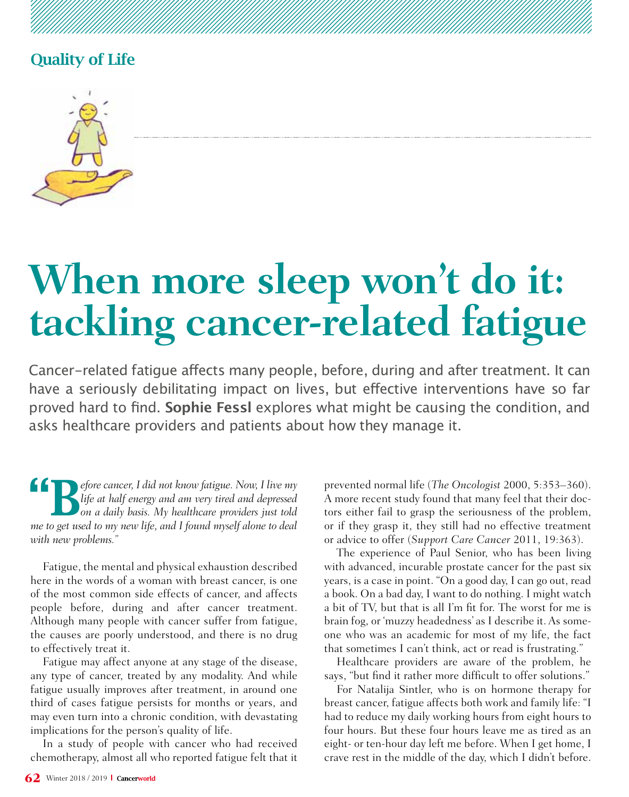

# **When more sleep won't do it: tackling cancer-related fatigue**

Cancer-related fatigue affects many people, before, during and after treatment. It can have a seriously debilitating impact on lives, but effective interventions have so far proved hard to find. **Sophie Fessl** explores what might be causing the condition, and asks healthcare providers and patients about how they manage it.

**18 Pefore cancer, I did not know fatigue. Now, I live my** life at half energy and am very tired and depressed on a daily basis. My healthcare providers just told was to not used to my word if and the model of also to deal *life at half energy and am very tired and depressed me to get used to my new life, and I found myself alone to deal with new problems."*

Fatigue, the mental and physical exhaustion described here in the words of a woman with breast cancer, is one of the most common side effects of cancer, and affects people before, during and after cancer treatment. Although many people with cancer suffer from fatigue, the causes are poorly understood, and there is no drug to effectively treat it.

Fatigue may affect anyone at any stage of the disease, any type of cancer, treated by any modality. And while fatigue usually improves after treatment, in around one third of cases fatigue persists for months or years, and may even turn into a chronic condition, with devastating implications for the person's quality of life.

In a study of people with cancer who had received chemotherapy, almost all who reported fatigue felt that it prevented normal life (*The Oncologist* 2000, 5:353–360). A more recent study found that many feel that their doctors either fail to grasp the seriousness of the problem, or if they grasp it, they still had no effective treatment or advice to offer (*Support Care Can*c*er* 2011, 19:363).

The experience of Paul Senior, who has been living with advanced, incurable prostate cancer for the past six years, is a case in point. "On a good day, I can go out, read a book. On a bad day, I want to do nothing. I might watch a bit of TV, but that is all I'm fit for. The worst for me is brain fog, or 'muzzy headedness' as I describe it. As someone who was an academic for most of my life, the fact that sometimes I can't think, act or read is frustrating."

Healthcare providers are aware of the problem, he says, "but find it rather more difficult to offer solutions."

For Natalija Sintler, who is on hormone therapy for breast cancer, fatigue affects both work and family life: "I had to reduce my daily working hours from eight hours to four hours. But these four hours leave me as tired as an eight- or ten-hour day left me before. When I get home, I crave rest in the middle of the day, which I didn't before.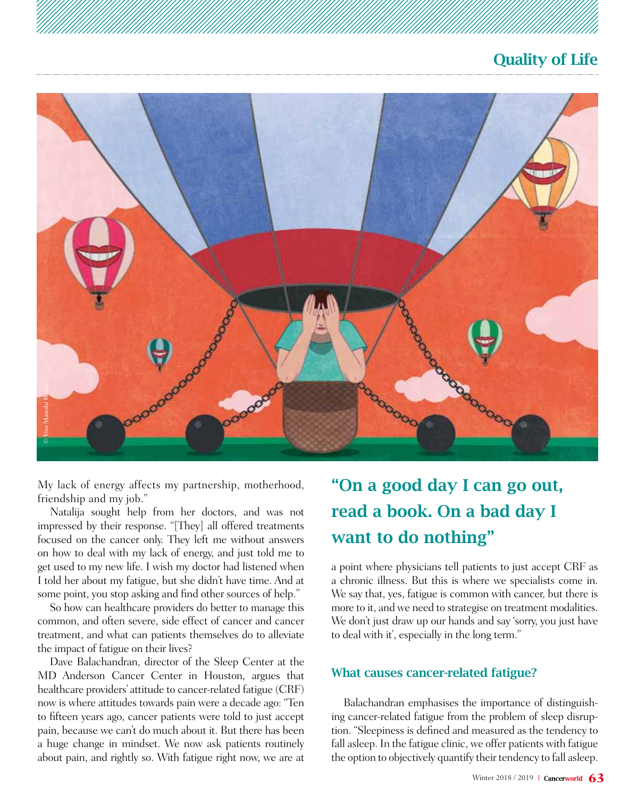

My lack of energy affects my partnership, motherhood, friendship and my job."

Natalija sought help from her doctors, and was not impressed by their response. "[They] all offered treatments focused on the cancer only. They left me without answers on how to deal with my lack of energy, and just told me to get used to my new life. I wish my doctor had listened when I told her about my fatigue, but she didn't have time. And at some point, you stop asking and find other sources of help."

So how can healthcare providers do better to manage this common, and often severe, side effect of cancer and cancer treatment, and what can patients themselves do to alleviate the impact of fatigue on their lives?

Dave Balachandran, director of the Sleep Center at the MD Anderson Cancer Center in Houston, argues that healthcare providers' attitude to cancer-related fatigue (CRF) now is where attitudes towards pain were a decade ago: "Ten to fifteen years ago, cancer patients were told to just accept pain, because we can't do much about it. But there has been a huge change in mindset. We now ask patients routinely about pain, and rightly so. With fatigue right now, we are at

# "On a good day I can go out, read a book. On a bad day I want to do nothing"

a point where physicians tell patients to just accept CRF as a chronic illness. But this is where we specialists come in. We say that, yes, fatigue is common with cancer, but there is more to it, and we need to strategise on treatment modalities. We don't just draw up our hands and say 'sorry, you just have to deal with it', especially in the long term."

#### What causes cancer-related fatigue?

Balachandran emphasises the importance of distinguishing cancer-related fatigue from the problem of sleep disruption. "Sleepiness is defined and measured as the tendency to fall asleep. In the fatigue clinic, we offer patients with fatigue the option to objectively quantify their tendency to fall asleep.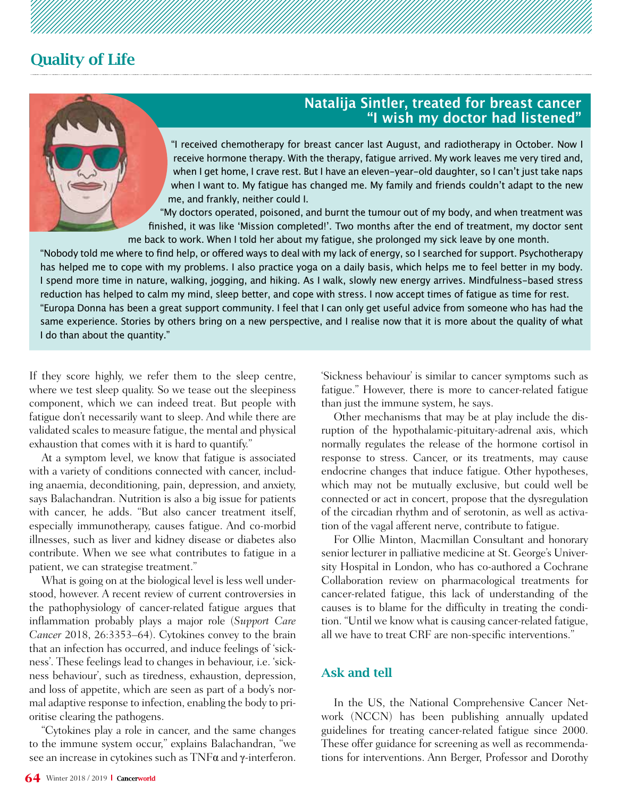

### **Natalija Sintler, treated for breast cancer "I wish my doctor had listened"**

"I received chemotherapy for breast cancer last August, and radiotherapy in October. Now I receive hormone therapy. With the therapy, fatigue arrived. My work leaves me very tired and, when I get home, I crave rest. But I have an eleven-year-old daughter, so I can't just take naps when I want to. My fatigue has changed me. My family and friends couldn't adapt to the new me, and frankly, neither could I.

"My doctors operated, poisoned, and burnt the tumour out of my body, and when treatment was finished, it was like 'Mission completed!'. Two months after the end of treatment, my doctor sent me back to work. When I told her about my fatigue, she prolonged my sick leave by one month.

"Nobody told me where to find help, or offered ways to deal with my lack of energy, so I searched for support. Psychotherapy has helped me to cope with my problems. I also practice yoga on a daily basis, which helps me to feel better in my body. I spend more time in nature, walking, jogging, and hiking. As I walk, slowly new energy arrives. Mindfulness-based stress reduction has helped to calm my mind, sleep better, and cope with stress. I now accept times of fatigue as time for rest. "Europa Donna has been a great support community. I feel that I can only get useful advice from someone who has had the same experience. Stories by others bring on a new perspective, and I realise now that it is more about the quality of what I do than about the quantity."

If they score highly, we refer them to the sleep centre, where we test sleep quality. So we tease out the sleepiness component, which we can indeed treat. But people with fatigue don't necessarily want to sleep. And while there are validated scales to measure fatigue, the mental and physical exhaustion that comes with it is hard to quantify."

At a symptom level, we know that fatigue is associated with a variety of conditions connected with cancer, including anaemia, deconditioning, pain, depression, and anxiety, says Balachandran. Nutrition is also a big issue for patients with cancer, he adds. "But also cancer treatment itself, especially immunotherapy, causes fatigue. And co-morbid illnesses, such as liver and kidney disease or diabetes also contribute. When we see what contributes to fatigue in a patient, we can strategise treatment."

What is going on at the biological level is less well understood, however. A recent review of current controversies in the pathophysiology of cancer-related fatigue argues that inflammation probably plays a major role (*Support Care Cancer* 2018, 26:3353–64). Cytokines convey to the brain that an infection has occurred, and induce feelings of 'sickness'. These feelings lead to changes in behaviour, i.e. 'sickness behaviour', such as tiredness, exhaustion, depression, and loss of appetite, which are seen as part of a body's normal adaptive response to infection, enabling the body to prioritise clearing the pathogens.

"Cytokines play a role in cancer, and the same changes to the immune system occur," explains Balachandran, "we see an increase in cytokines such as TNFα and γ-interferon.

'Sickness behaviour' is similar to cancer symptoms such as fatigue." However, there is more to cancer-related fatigue than just the immune system, he says.

Other mechanisms that may be at play include the disruption of the hypothalamic-pituitary-adrenal axis, which normally regulates the release of the hormone cortisol in response to stress. Cancer, or its treatments, may cause endocrine changes that induce fatigue. Other hypotheses, which may not be mutually exclusive, but could well be connected or act in concert, propose that the dysregulation of the circadian rhythm and of serotonin, as well as activation of the vagal afferent nerve, contribute to fatigue.

For Ollie Minton, Macmillan Consultant and honorary senior lecturer in palliative medicine at St. George's University Hospital in London, who has co-authored a Cochrane Collaboration review on pharmacological treatments for cancer-related fatigue, this lack of understanding of the causes is to blame for the difficulty in treating the condition. "Until we know what is causing cancer-related fatigue, all we have to treat CRF are non-specific interventions."

#### Ask and tell

In the US, the National Comprehensive Cancer Network (NCCN) has been publishing annually updated guidelines for treating cancer-related fatigue since 2000. These offer guidance for screening as well as recommendations for interventions. Ann Berger, Professor and Dorothy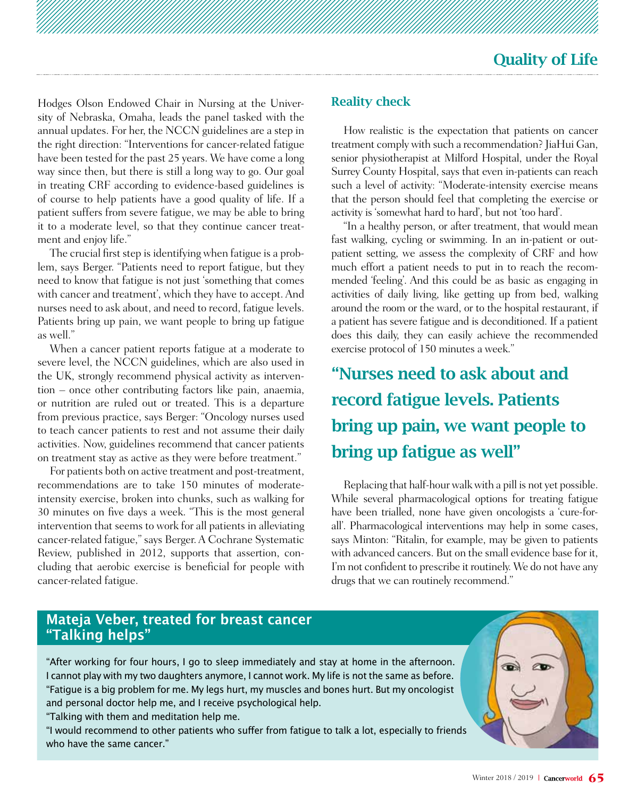Hodges Olson Endowed Chair in Nursing at the University of Nebraska, Omaha, leads the panel tasked with the annual updates. For her, the NCCN guidelines are a step in the right direction: "Interventions for cancer-related fatigue have been tested for the past 25 years. We have come a long way since then, but there is still a long way to go. Our goal in treating CRF according to evidence-based guidelines is of course to help patients have a good quality of life. If a patient suffers from severe fatigue, we may be able to bring it to a moderate level, so that they continue cancer treatment and enjoy life."

The crucial first step is identifying when fatigue is a problem, says Berger. "Patients need to report fatigue, but they need to know that fatigue is not just 'something that comes with cancer and treatment', which they have to accept. And nurses need to ask about, and need to record, fatigue levels. Patients bring up pain, we want people to bring up fatigue as well."

When a cancer patient reports fatigue at a moderate to severe level, the NCCN guidelines, which are also used in the UK, strongly recommend physical activity as intervention – once other contributing factors like pain, anaemia, or nutrition are ruled out or treated. This is a departure from previous practice, says Berger: "Oncology nurses used to teach cancer patients to rest and not assume their daily activities. Now, guidelines recommend that cancer patients on treatment stay as active as they were before treatment."

For patients both on active treatment and post-treatment, recommendations are to take 150 minutes of moderateintensity exercise, broken into chunks, such as walking for 30 minutes on five days a week. "This is the most general intervention that seems to work for all patients in alleviating cancer-related fatigue," says Berger. A Cochrane Systematic Review, published in 2012, supports that assertion, concluding that aerobic exercise is beneficial for people with cancer-related fatigue.

### Reality check

How realistic is the expectation that patients on cancer treatment comply with such a recommendation? JiaHui Gan, senior physiotherapist at Milford Hospital, under the Royal Surrey County Hospital, says that even in-patients can reach such a level of activity: "Moderate-intensity exercise means that the person should feel that completing the exercise or activity is 'somewhat hard to hard', but not 'too hard'.

"In a healthy person, or after treatment, that would mean fast walking, cycling or swimming. In an in-patient or outpatient setting, we assess the complexity of CRF and how much effort a patient needs to put in to reach the recommended 'feeling'. And this could be as basic as engaging in activities of daily living, like getting up from bed, walking around the room or the ward, or to the hospital restaurant, if a patient has severe fatigue and is deconditioned. If a patient does this daily, they can easily achieve the recommended exercise protocol of 150 minutes a week."

# "Nurses need to ask about and record fatigue levels. Patients bring up pain, we want people to bring up fatigue as well"

Replacing that half-hour walk with a pill is not yet possible. While several pharmacological options for treating fatigue have been trialled, none have given oncologists a 'cure-forall'. Pharmacological interventions may help in some cases, says Minton: "Ritalin, for example, may be given to patients with advanced cancers. But on the small evidence base for it, I'm not confident to prescribe it routinely. We do not have any drugs that we can routinely recommend."

### **Mateja Veber, treated for breast cancer "Talking helps"**

"After working for four hours, I go to sleep immediately and stay at home in the afternoon. I cannot play with my two daughters anymore, I cannot work. My life is not the same as before. "Fatigue is a big problem for me. My legs hurt, my muscles and bones hurt. But my oncologist and personal doctor help me, and I receive psychological help.

"Talking with them and meditation help me.

"I would recommend to other patients who suffer from fatigue to talk a lot, especially to friends who have the same cancer."

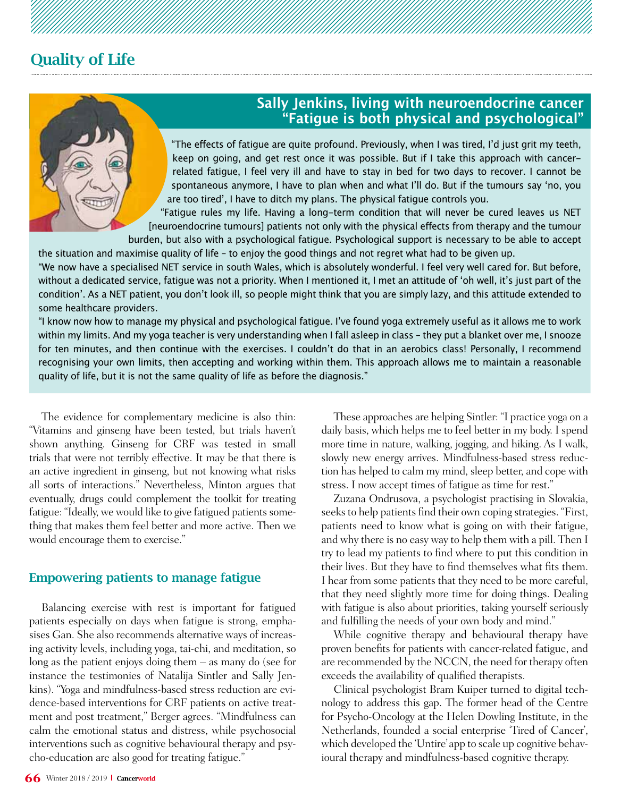

### **Sally Jenkins, living with neuroendocrine cancer "Fatigue is both physical and psychological"**

"The effects of fatigue are quite profound. Previously, when I was tired, I'd just grit my teeth, keep on going, and get rest once it was possible. But if I take this approach with cancerrelated fatigue, I feel very ill and have to stay in bed for two days to recover. I cannot be spontaneous anymore, I have to plan when and what I'll do. But if the tumours say 'no, you are too tired', I have to ditch my plans. The physical fatigue controls you.

"Fatigue rules my life. Having a long-term condition that will never be cured leaves us NET [neuroendocrine tumours] patients not only with the physical effects from therapy and the tumour burden, but also with a psychological fatigue. Psychological support is necessary to be able to accept

the situation and maximise quality of life – to enjoy the good things and not regret what had to be given up. "We now have a specialised NET service in south Wales, which is absolutely wonderful. I feel very well cared for. But before, without a dedicated service, fatigue was not a priority. When I mentioned it, I met an attitude of 'oh well, it's just part of the condition'. As a NET patient, you don't look ill, so people might think that you are simply lazy, and this attitude extended to some healthcare providers.

"I know now how to manage my physical and psychological fatigue. I've found yoga extremely useful as it allows me to work within my limits. And my yoga teacher is very understanding when I fall asleep in class – they put a blanket over me, I snooze for ten minutes, and then continue with the exercises. I couldn't do that in an aerobics class! Personally, I recommend recognising your own limits, then accepting and working within them. This approach allows me to maintain a reasonable quality of life, but it is not the same quality of life as before the diagnosis."

The evidence for complementary medicine is also thin: "Vitamins and ginseng have been tested, but trials haven't shown anything. Ginseng for CRF was tested in small trials that were not terribly effective. It may be that there is an active ingredient in ginseng, but not knowing what risks all sorts of interactions." Nevertheless, Minton argues that eventually, drugs could complement the toolkit for treating fatigue: "Ideally, we would like to give fatigued patients something that makes them feel better and more active. Then we would encourage them to exercise."

### Empowering patients to manage fatigue

Balancing exercise with rest is important for fatigued patients especially on days when fatigue is strong, emphasises Gan. She also recommends alternative ways of increasing activity levels, including yoga, tai-chi, and meditation, so long as the patient enjoys doing them – as many do (see for instance the testimonies of Natalija Sintler and Sally Jenkins). "Yoga and mindfulness-based stress reduction are evidence-based interventions for CRF patients on active treatment and post treatment," Berger agrees. "Mindfulness can calm the emotional status and distress, while psychosocial interventions such as cognitive behavioural therapy and psycho-education are also good for treating fatigue."

These approaches are helping Sintler: "I practice yoga on a daily basis, which helps me to feel better in my body. I spend more time in nature, walking, jogging, and hiking. As I walk, slowly new energy arrives. Mindfulness-based stress reduction has helped to calm my mind, sleep better, and cope with stress. I now accept times of fatigue as time for rest."

Zuzana Ondrusova, a psychologist practising in Slovakia, seeks to help patients find their own coping strategies. "First, patients need to know what is going on with their fatigue, and why there is no easy way to help them with a pill. Then I try to lead my patients to find where to put this condition in their lives. But they have to find themselves what fits them. I hear from some patients that they need to be more careful, that they need slightly more time for doing things. Dealing with fatigue is also about priorities, taking yourself seriously and fulfilling the needs of your own body and mind."

While cognitive therapy and behavioural therapy have proven benefits for patients with cancer-related fatigue, and are recommended by the NCCN, the need for therapy often exceeds the availability of qualified therapists.

Clinical psychologist Bram Kuiper turned to digital technology to address this gap. The former head of the Centre for Psycho-Oncology at the Helen Dowling Institute, in the Netherlands, founded a social enterprise 'Tired of Cancer', which developed the 'Untire' app to scale up cognitive behavioural therapy and mindfulness-based cognitive therapy.